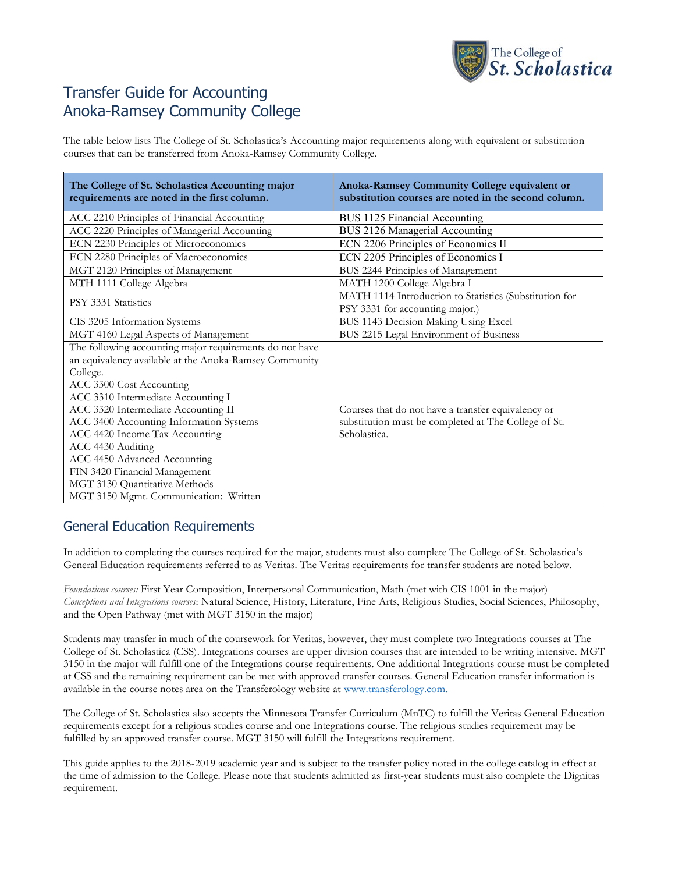

# Transfer Guide for Accounting Anoka-Ramsey Community College

The table below lists The College of St. Scholastica's Accounting major requirements along with equivalent or substitution courses that can be transferred from Anoka-Ramsey Community College.

| The College of St. Scholastica Accounting major<br>requirements are noted in the first column. | Anoka-Ramsey Community College equivalent or<br>substitution courses are noted in the second column. |
|------------------------------------------------------------------------------------------------|------------------------------------------------------------------------------------------------------|
| ACC 2210 Principles of Financial Accounting                                                    | BUS 1125 Financial Accounting                                                                        |
| ACC 2220 Principles of Managerial Accounting                                                   | BUS 2126 Managerial Accounting                                                                       |
| ECN 2230 Principles of Microeconomics                                                          | ECN 2206 Principles of Economics II                                                                  |
| ECN 2280 Principles of Macroeconomics                                                          | ECN 2205 Principles of Economics I                                                                   |
| MGT 2120 Principles of Management                                                              | BUS 2244 Principles of Management                                                                    |
| MTH 1111 College Algebra                                                                       | MATH 1200 College Algebra I                                                                          |
| PSY 3331 Statistics                                                                            | MATH 1114 Introduction to Statistics (Substitution for                                               |
|                                                                                                | PSY 3331 for accounting major.)                                                                      |
| CIS 3205 Information Systems                                                                   | BUS 1143 Decision Making Using Excel                                                                 |
| MGT 4160 Legal Aspects of Management                                                           | BUS 2215 Legal Environment of Business                                                               |
| The following accounting major requirements do not have                                        |                                                                                                      |
| an equivalency available at the Anoka-Ramsey Community                                         |                                                                                                      |
| College.                                                                                       |                                                                                                      |
| ACC 3300 Cost Accounting                                                                       |                                                                                                      |
| ACC 3310 Intermediate Accounting I                                                             |                                                                                                      |
| ACC 3320 Intermediate Accounting II                                                            | Courses that do not have a transfer equivalency or                                                   |
| ACC 3400 Accounting Information Systems                                                        | substitution must be completed at The College of St.                                                 |
| ACC 4420 Income Tax Accounting                                                                 | Scholastica.                                                                                         |
| ACC 4430 Auditing                                                                              |                                                                                                      |
| ACC 4450 Advanced Accounting                                                                   |                                                                                                      |
| FIN 3420 Financial Management                                                                  |                                                                                                      |
| MGT 3130 Quantitative Methods                                                                  |                                                                                                      |
| MGT 3150 Mgmt. Communication: Written                                                          |                                                                                                      |

# General Education Requirements

In addition to completing the courses required for the major, students must also complete The College of St. Scholastica's General Education requirements referred to as Veritas. The Veritas requirements for transfer students are noted below.

*Foundations courses:* First Year Composition, Interpersonal Communication, Math (met with CIS 1001 in the major) *Conceptions and Integrations courses*: Natural Science, History, Literature, Fine Arts, Religious Studies, Social Sciences, Philosophy, and the Open Pathway (met with MGT 3150 in the major)

Students may transfer in much of the coursework for Veritas, however, they must complete two Integrations courses at The College of St. Scholastica (CSS). Integrations courses are upper division courses that are intended to be writing intensive. MGT 3150 in the major will fulfill one of the Integrations course requirements. One additional Integrations course must be completed at CSS and the remaining requirement can be met with approved transfer courses. General Education transfer information is available in the course notes area on the Transferology website at [www.transferology.com.](https://www.transferology.com/index.htm)

The College of St. Scholastica also accepts the Minnesota Transfer Curriculum (MnTC) to fulfill the Veritas General Education requirements except for a religious studies course and one Integrations course. The religious studies requirement may be fulfilled by an approved transfer course. MGT 3150 will fulfill the Integrations requirement.

This guide applies to the 2018-2019 academic year and is subject to the transfer policy noted in the college catalog in effect at the time of admission to the College. Please note that students admitted as first-year students must also complete the Dignitas requirement.